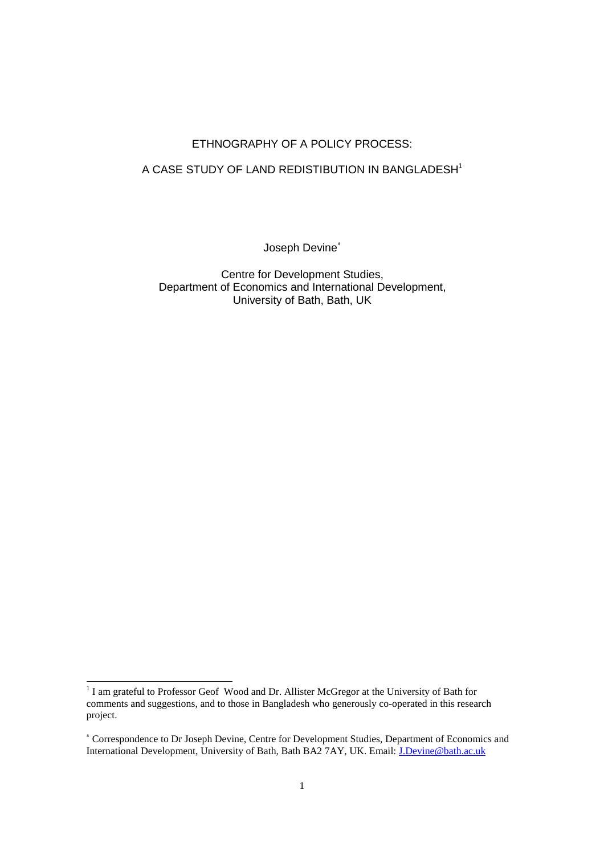# ETHNOGRAPHY OF A POLICY PROCESS:

## A CASE STUDY OF LAND REDISTIBUTION IN BANGLADESH<sup>1</sup>

Joseph Devine

Centre for Development Studies, Department of Economics and International Development, University of Bath, Bath, UK

<sup>&</sup>lt;sup>1</sup> I am grateful to Professor Geof Wood and Dr. Allister McGregor at the University of Bath for comments and suggestions, and to those in Bangladesh who generously co-operated in this research project.

 Correspondence to Dr Joseph Devine, Centre for Development Studies, Department of Economics and International Development, University of Bath, Bath BA2 7AY, UK. Email: J.Devine@bath.ac.uk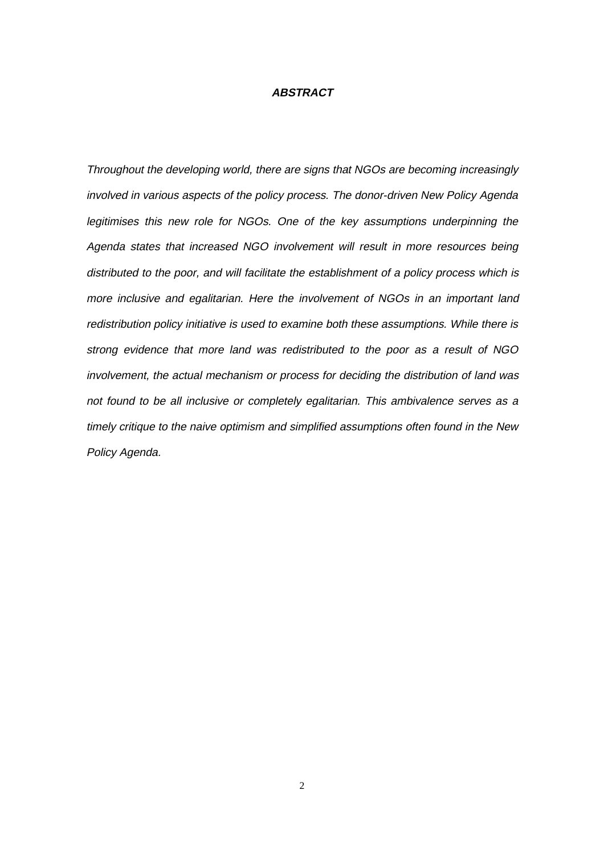### **ABSTRACT**

Throughout the developing world, there are signs that NGOs are becoming increasingly involved in various aspects of the policy process. The donor-driven New Policy Agenda legitimises this new role for NGOs. One of the key assumptions underpinning the Agenda states that increased NGO involvement will result in more resources being distributed to the poor, and will facilitate the establishment of a policy process which is more inclusive and egalitarian. Here the involvement of NGOs in an important land redistribution policy initiative is used to examine both these assumptions. While there is strong evidence that more land was redistributed to the poor as a result of NGO involvement, the actual mechanism or process for deciding the distribution of land was not found to be all inclusive or completely egalitarian. This ambivalence serves as a timely critique to the naive optimism and simplified assumptions often found in the New Policy Agenda.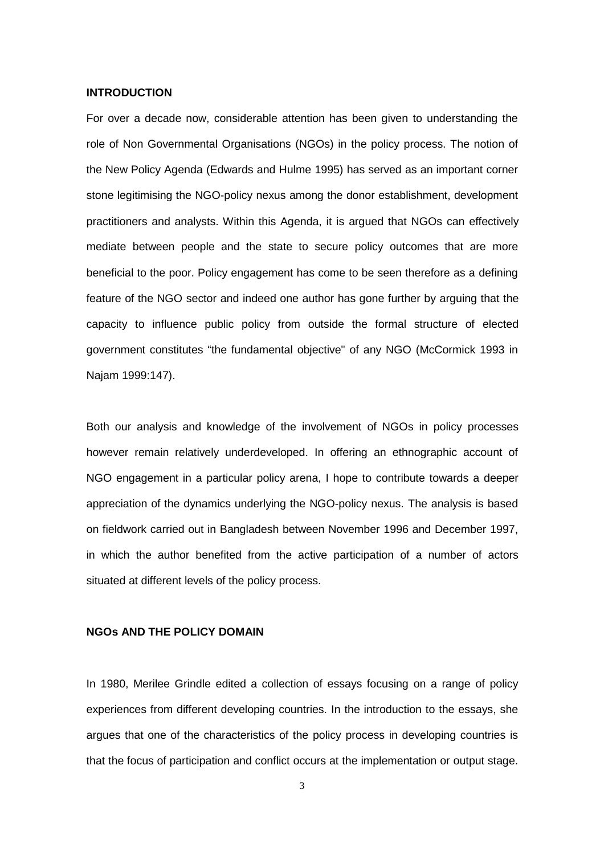#### **INTRODUCTION**

For over a decade now, considerable attention has been given to understanding the role of Non Governmental Organisations (NGOs) in the policy process. The notion of the New Policy Agenda (Edwards and Hulme 1995) has served as an important corner stone legitimising the NGO-policy nexus among the donor establishment, development practitioners and analysts. Within this Agenda, it is argued that NGOs can effectively mediate between people and the state to secure policy outcomes that are more beneficial to the poor. Policy engagement has come to be seen therefore as a defining feature of the NGO sector and indeed one author has gone further by arguing that the capacity to influence public policy from outside the formal structure of elected government constitutes "the fundamental objective" of any NGO (McCormick 1993 in Najam 1999:147).

Both our analysis and knowledge of the involvement of NGOs in policy processes however remain relatively underdeveloped. In offering an ethnographic account of NGO engagement in a particular policy arena, I hope to contribute towards a deeper appreciation of the dynamics underlying the NGO-policy nexus. The analysis is based on fieldwork carried out in Bangladesh between November 1996 and December 1997, in which the author benefited from the active participation of a number of actors situated at different levels of the policy process.

## **NGOs AND THE POLICY DOMAIN**

In 1980, Merilee Grindle edited a collection of essays focusing on a range of policy experiences from different developing countries. In the introduction to the essays, she argues that one of the characteristics of the policy process in developing countries is that the focus of participation and conflict occurs at the implementation or output stage.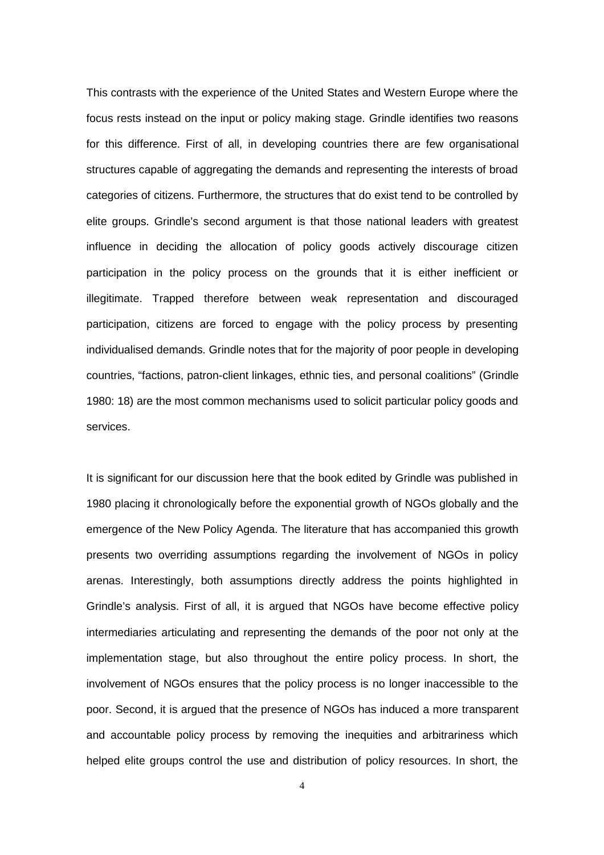This contrasts with the experience of the United States and Western Europe where the focus rests instead on the input or policy making stage. Grindle identifies two reasons for this difference. First of all, in developing countries there are few organisational structures capable of aggregating the demands and representing the interests of broad categories of citizens. Furthermore, the structures that do exist tend to be controlled by elite groups. Grindle's second argument is that those national leaders with greatest influence in deciding the allocation of policy goods actively discourage citizen participation in the policy process on the grounds that it is either inefficient or illegitimate. Trapped therefore between weak representation and discouraged participation, citizens are forced to engage with the policy process by presenting individualised demands. Grindle notes that for the majority of poor people in developing countries, "factions, patron-client linkages, ethnic ties, and personal coalitions" (Grindle 1980: 18) are the most common mechanisms used to solicit particular policy goods and services.

It is significant for our discussion here that the book edited by Grindle was published in 1980 placing it chronologically before the exponential growth of NGOs globally and the emergence of the New Policy Agenda. The literature that has accompanied this growth presents two overriding assumptions regarding the involvement of NGOs in policy arenas. Interestingly, both assumptions directly address the points highlighted in Grindle's analysis. First of all, it is argued that NGOs have become effective policy intermediaries articulating and representing the demands of the poor not only at the implementation stage, but also throughout the entire policy process. In short, the involvement of NGOs ensures that the policy process is no longer inaccessible to the poor. Second, it is argued that the presence of NGOs has induced a more transparent and accountable policy process by removing the inequities and arbitrariness which helped elite groups control the use and distribution of policy resources. In short, the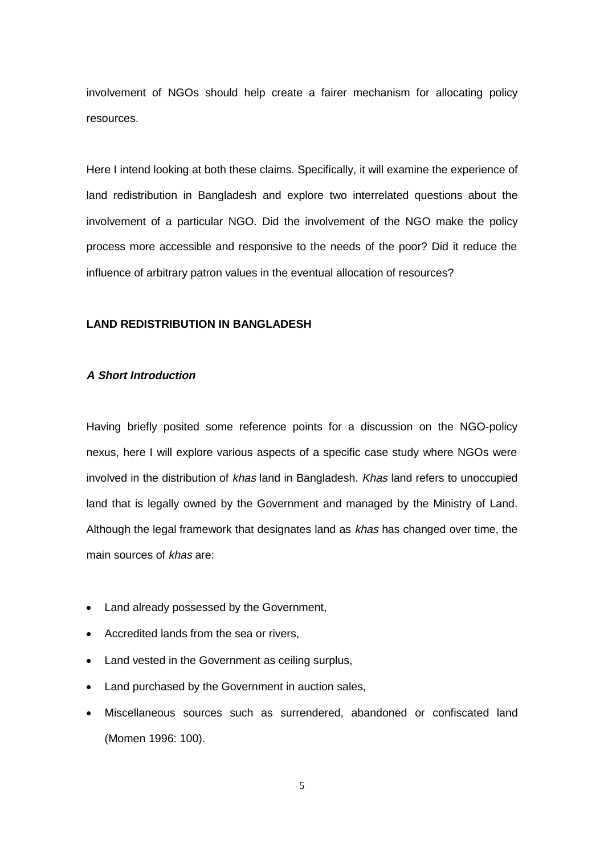involvement of NGOs should help create a fairer mechanism for allocating policy resources.

Here I intend looking at both these claims. Specifically, it will examine the experience of land redistribution in Bangladesh and explore two interrelated questions about the involvement of a particular NGO. Did the involvement of the NGO make the policy process more accessible and responsive to the needs of the poor? Did it reduce the influence of arbitrary patron values in the eventual allocation of resources?

## **LAND REDISTRIBUTION IN BANGLADESH**

## **A Short Introduction**

Having briefly posited some reference points for a discussion on the NGO-policy nexus, here I will explore various aspects of a specific case study where NGOs were involved in the distribution of khas land in Bangladesh. Khas land refers to unoccupied land that is legally owned by the Government and managed by the Ministry of Land. Although the legal framework that designates land as khas has changed over time, the main sources of khas are:

- Land already possessed by the Government,
- Accredited lands from the sea or rivers,
- Land vested in the Government as ceiling surplus,
- Land purchased by the Government in auction sales,
- Miscellaneous sources such as surrendered, abandoned or confiscated land (Momen 1996: 100).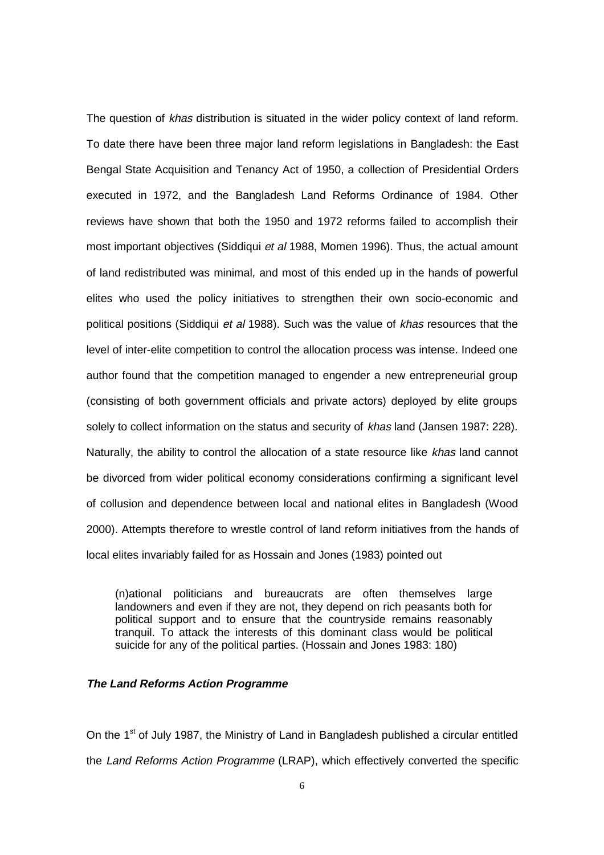The question of khas distribution is situated in the wider policy context of land reform. To date there have been three major land reform legislations in Bangladesh: the East Bengal State Acquisition and Tenancy Act of 1950, a collection of Presidential Orders executed in 1972, and the Bangladesh Land Reforms Ordinance of 1984. Other reviews have shown that both the 1950 and 1972 reforms failed to accomplish their most important objectives (Siddiqui et al 1988, Momen 1996). Thus, the actual amount of land redistributed was minimal, and most of this ended up in the hands of powerful elites who used the policy initiatives to strengthen their own socio-economic and political positions (Siddiqui et al 1988). Such was the value of khas resources that the level of inter-elite competition to control the allocation process was intense. Indeed one author found that the competition managed to engender a new entrepreneurial group (consisting of both government officials and private actors) deployed by elite groups solely to collect information on the status and security of khas land (Jansen 1987: 228). Naturally, the ability to control the allocation of a state resource like khas land cannot be divorced from wider political economy considerations confirming a significant level of collusion and dependence between local and national elites in Bangladesh (Wood 2000). Attempts therefore to wrestle control of land reform initiatives from the hands of local elites invariably failed for as Hossain and Jones (1983) pointed out

(n)ational politicians and bureaucrats are often themselves large landowners and even if they are not, they depend on rich peasants both for political support and to ensure that the countryside remains reasonably tranquil. To attack the interests of this dominant class would be political suicide for any of the political parties. (Hossain and Jones 1983: 180)

### **The Land Reforms Action Programme**

On the 1<sup>st</sup> of July 1987, the Ministry of Land in Bangladesh published a circular entitled the Land Reforms Action Programme (LRAP), which effectively converted the specific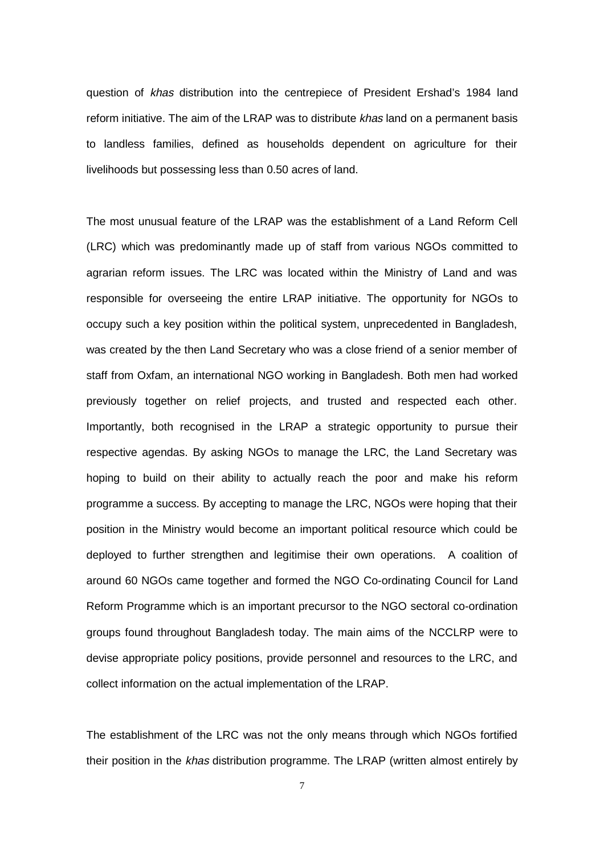question of khas distribution into the centrepiece of President Ershad's 1984 land reform initiative. The aim of the LRAP was to distribute *khas* land on a permanent basis to landless families, defined as households dependent on agriculture for their livelihoods but possessing less than 0.50 acres of land.

The most unusual feature of the LRAP was the establishment of a Land Reform Cell (LRC) which was predominantly made up of staff from various NGOs committed to agrarian reform issues. The LRC was located within the Ministry of Land and was responsible for overseeing the entire LRAP initiative. The opportunity for NGOs to occupy such a key position within the political system, unprecedented in Bangladesh, was created by the then Land Secretary who was a close friend of a senior member of staff from Oxfam, an international NGO working in Bangladesh. Both men had worked previously together on relief projects, and trusted and respected each other. Importantly, both recognised in the LRAP a strategic opportunity to pursue their respective agendas. By asking NGOs to manage the LRC, the Land Secretary was hoping to build on their ability to actually reach the poor and make his reform programme a success. By accepting to manage the LRC, NGOs were hoping that their position in the Ministry would become an important political resource which could be deployed to further strengthen and legitimise their own operations. A coalition of around 60 NGOs came together and formed the NGO Co-ordinating Council for Land Reform Programme which is an important precursor to the NGO sectoral co-ordination groups found throughout Bangladesh today. The main aims of the NCCLRP were to devise appropriate policy positions, provide personnel and resources to the LRC, and collect information on the actual implementation of the LRAP.

The establishment of the LRC was not the only means through which NGOs fortified their position in the khas distribution programme. The LRAP (written almost entirely by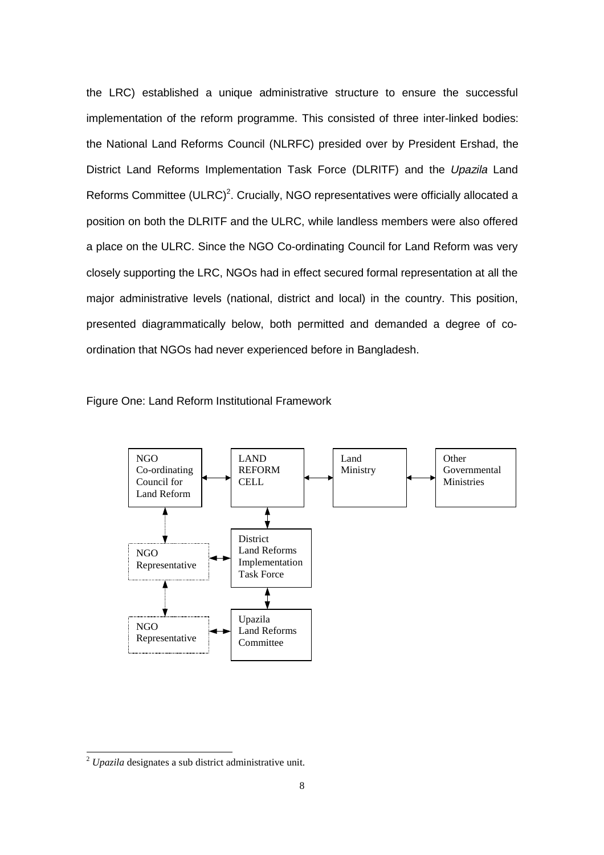the LRC) established a unique administrative structure to ensure the successful implementation of the reform programme. This consisted of three inter-linked bodies: the National Land Reforms Council (NLRFC) presided over by President Ershad, the District Land Reforms Implementation Task Force (DLRITF) and the Upazila Land Reforms Committee (ULRC)<sup>2</sup>. Crucially, NGO representatives were officially allocated a position on both the DLRITF and the ULRC, while landless members were also offered a place on the ULRC. Since the NGO Co-ordinating Council for Land Reform was very closely supporting the LRC, NGOs had in effect secured formal representation at all the major administrative levels (national, district and local) in the country. This position, presented diagrammatically below, both permitted and demanded a degree of coordination that NGOs had never experienced before in Bangladesh.

Figure One: Land Reform Institutional Framework



 $\overline{a}$ 

<sup>2</sup> *Upazila* designates a sub district administrative unit.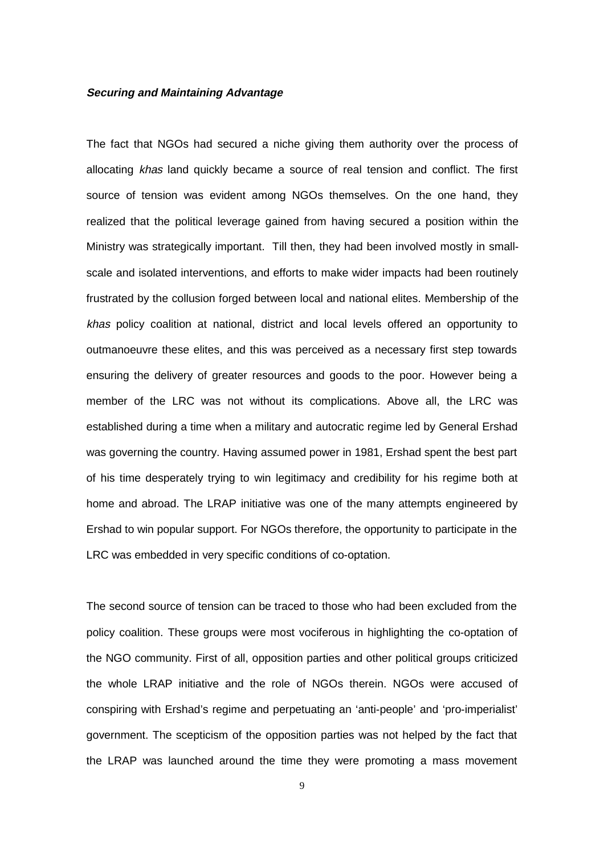### **Securing and Maintaining Advantage**

The fact that NGOs had secured a niche giving them authority over the process of allocating khas land quickly became a source of real tension and conflict. The first source of tension was evident among NGOs themselves. On the one hand, they realized that the political leverage gained from having secured a position within the Ministry was strategically important. Till then, they had been involved mostly in smallscale and isolated interventions, and efforts to make wider impacts had been routinely frustrated by the collusion forged between local and national elites. Membership of the khas policy coalition at national, district and local levels offered an opportunity to outmanoeuvre these elites, and this was perceived as a necessary first step towards ensuring the delivery of greater resources and goods to the poor. However being a member of the LRC was not without its complications. Above all, the LRC was established during a time when a military and autocratic regime led by General Ershad was governing the country. Having assumed power in 1981, Ershad spent the best part of his time desperately trying to win legitimacy and credibility for his regime both at home and abroad. The LRAP initiative was one of the many attempts engineered by Ershad to win popular support. For NGOs therefore, the opportunity to participate in the LRC was embedded in very specific conditions of co-optation.

The second source of tension can be traced to those who had been excluded from the policy coalition. These groups were most vociferous in highlighting the co-optation of the NGO community. First of all, opposition parties and other political groups criticized the whole LRAP initiative and the role of NGOs therein. NGOs were accused of conspiring with Ershad's regime and perpetuating an 'anti-people' and 'pro-imperialist' government. The scepticism of the opposition parties was not helped by the fact that the LRAP was launched around the time they were promoting a mass movement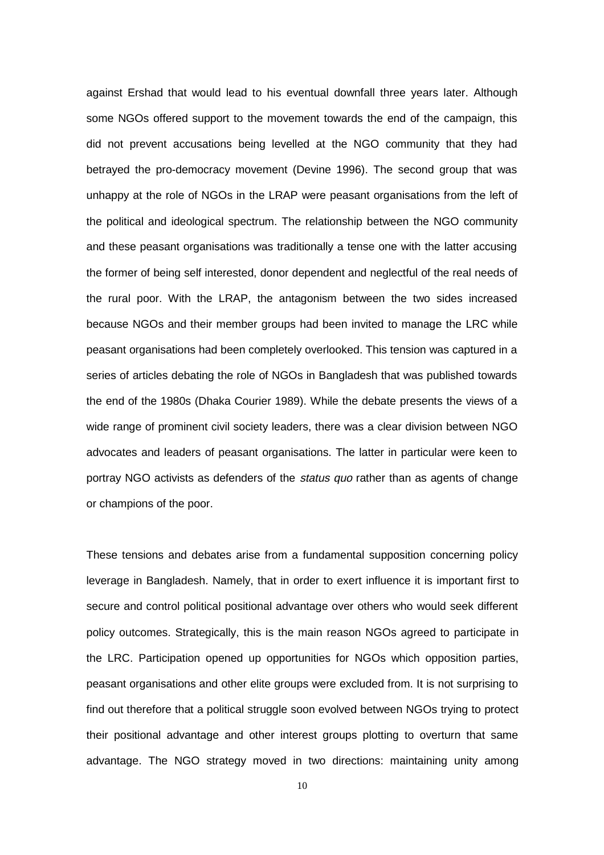against Ershad that would lead to his eventual downfall three years later. Although some NGOs offered support to the movement towards the end of the campaign, this did not prevent accusations being levelled at the NGO community that they had betrayed the pro-democracy movement (Devine 1996). The second group that was unhappy at the role of NGOs in the LRAP were peasant organisations from the left of the political and ideological spectrum. The relationship between the NGO community and these peasant organisations was traditionally a tense one with the latter accusing the former of being self interested, donor dependent and neglectful of the real needs of the rural poor. With the LRAP, the antagonism between the two sides increased because NGOs and their member groups had been invited to manage the LRC while peasant organisations had been completely overlooked. This tension was captured in a series of articles debating the role of NGOs in Bangladesh that was published towards the end of the 1980s (Dhaka Courier 1989). While the debate presents the views of a wide range of prominent civil society leaders, there was a clear division between NGO advocates and leaders of peasant organisations. The latter in particular were keen to portray NGO activists as defenders of the status quo rather than as agents of change or champions of the poor.

These tensions and debates arise from a fundamental supposition concerning policy leverage in Bangladesh. Namely, that in order to exert influence it is important first to secure and control political positional advantage over others who would seek different policy outcomes. Strategically, this is the main reason NGOs agreed to participate in the LRC. Participation opened up opportunities for NGOs which opposition parties, peasant organisations and other elite groups were excluded from. It is not surprising to find out therefore that a political struggle soon evolved between NGOs trying to protect their positional advantage and other interest groups plotting to overturn that same advantage. The NGO strategy moved in two directions: maintaining unity among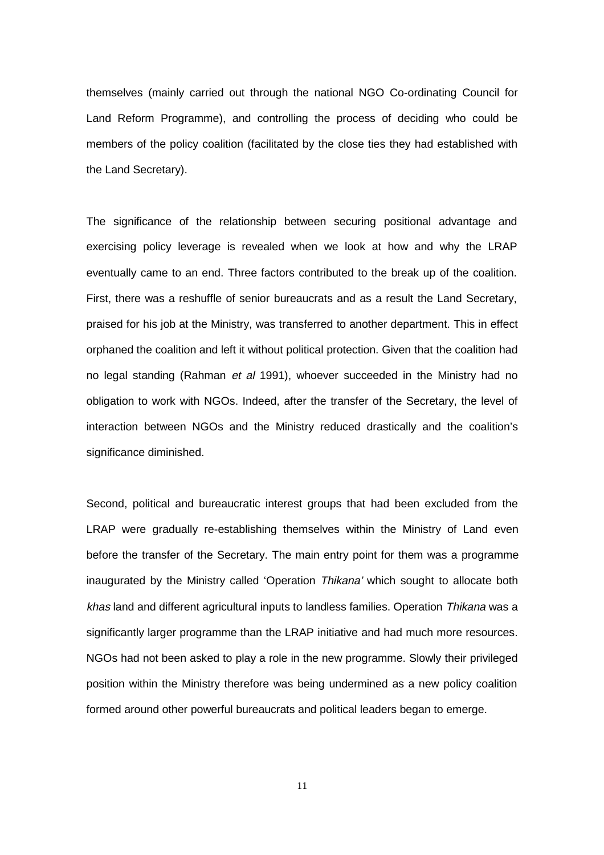themselves (mainly carried out through the national NGO Co-ordinating Council for Land Reform Programme), and controlling the process of deciding who could be members of the policy coalition (facilitated by the close ties they had established with the Land Secretary).

The significance of the relationship between securing positional advantage and exercising policy leverage is revealed when we look at how and why the LRAP eventually came to an end. Three factors contributed to the break up of the coalition. First, there was a reshuffle of senior bureaucrats and as a result the Land Secretary, praised for his job at the Ministry, was transferred to another department. This in effect orphaned the coalition and left it without political protection. Given that the coalition had no legal standing (Rahman et al 1991), whoever succeeded in the Ministry had no obligation to work with NGOs. Indeed, after the transfer of the Secretary, the level of interaction between NGOs and the Ministry reduced drastically and the coalition's significance diminished.

Second, political and bureaucratic interest groups that had been excluded from the LRAP were gradually re-establishing themselves within the Ministry of Land even before the transfer of the Secretary. The main entry point for them was a programme inaugurated by the Ministry called 'Operation Thikana' which sought to allocate both khas land and different agricultural inputs to landless families. Operation Thikana was a significantly larger programme than the LRAP initiative and had much more resources. NGOs had not been asked to play a role in the new programme. Slowly their privileged position within the Ministry therefore was being undermined as a new policy coalition formed around other powerful bureaucrats and political leaders began to emerge.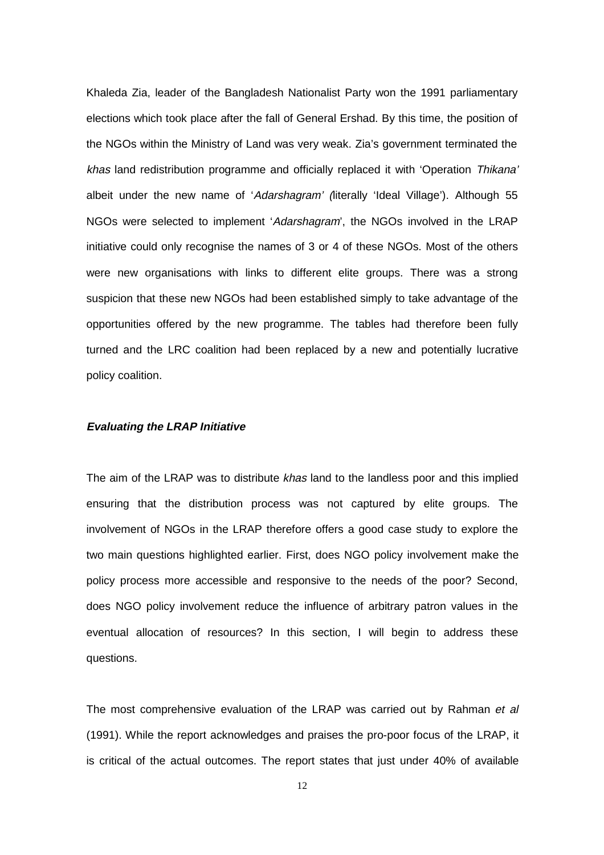Khaleda Zia, leader of the Bangladesh Nationalist Party won the 1991 parliamentary elections which took place after the fall of General Ershad. By this time, the position of the NGOs within the Ministry of Land was very weak. Zia's government terminated the khas land redistribution programme and officially replaced it with 'Operation Thikana' albeit under the new name of 'Adarshagram' (literally 'Ideal Village'). Although 55 NGOs were selected to implement 'Adarshagram', the NGOs involved in the LRAP initiative could only recognise the names of 3 or 4 of these NGOs. Most of the others were new organisations with links to different elite groups. There was a strong suspicion that these new NGOs had been established simply to take advantage of the opportunities offered by the new programme. The tables had therefore been fully turned and the LRC coalition had been replaced by a new and potentially lucrative policy coalition.

#### **Evaluating the LRAP Initiative**

The aim of the LRAP was to distribute khas land to the landless poor and this implied ensuring that the distribution process was not captured by elite groups. The involvement of NGOs in the LRAP therefore offers a good case study to explore the two main questions highlighted earlier. First, does NGO policy involvement make the policy process more accessible and responsive to the needs of the poor? Second, does NGO policy involvement reduce the influence of arbitrary patron values in the eventual allocation of resources? In this section, I will begin to address these questions.

The most comprehensive evaluation of the LRAP was carried out by Rahman et al (1991). While the report acknowledges and praises the pro-poor focus of the LRAP, it is critical of the actual outcomes. The report states that just under 40% of available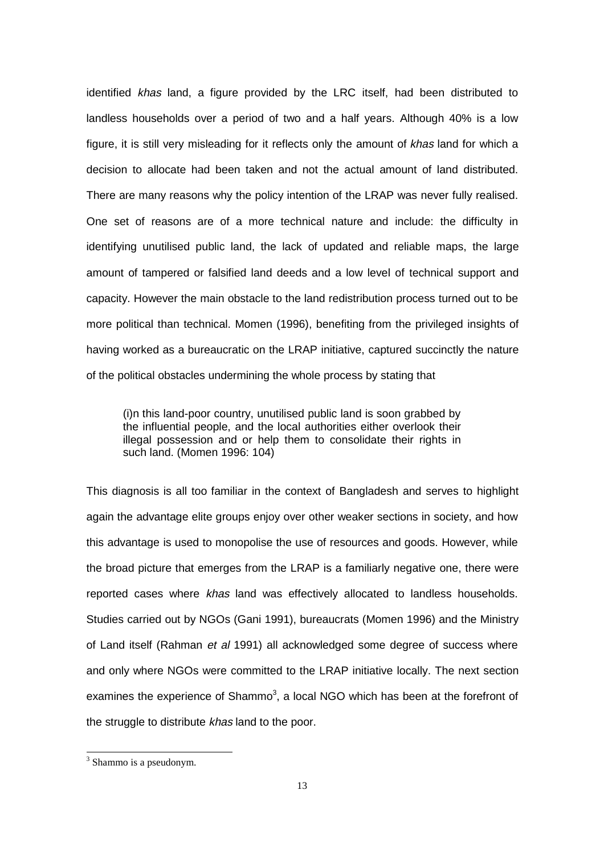identified khas land, a figure provided by the LRC itself, had been distributed to landless households over a period of two and a half years. Although 40% is a low figure, it is still very misleading for it reflects only the amount of khas land for which a decision to allocate had been taken and not the actual amount of land distributed. There are many reasons why the policy intention of the LRAP was never fully realised. One set of reasons are of a more technical nature and include: the difficulty in identifying unutilised public land, the lack of updated and reliable maps, the large amount of tampered or falsified land deeds and a low level of technical support and capacity. However the main obstacle to the land redistribution process turned out to be more political than technical. Momen (1996), benefiting from the privileged insights of having worked as a bureaucratic on the LRAP initiative, captured succinctly the nature of the political obstacles undermining the whole process by stating that

(i)n this land-poor country, unutilised public land is soon grabbed by the influential people, and the local authorities either overlook their illegal possession and or help them to consolidate their rights in such land. (Momen 1996: 104)

This diagnosis is all too familiar in the context of Bangladesh and serves to highlight again the advantage elite groups enjoy over other weaker sections in society, and how this advantage is used to monopolise the use of resources and goods. However, while the broad picture that emerges from the LRAP is a familiarly negative one, there were reported cases where khas land was effectively allocated to landless households. Studies carried out by NGOs (Gani 1991), bureaucrats (Momen 1996) and the Ministry of Land itself (Rahman et al 1991) all acknowledged some degree of success where and only where NGOs were committed to the LRAP initiative locally. The next section examines the experience of Shammo<sup>3</sup>, a local NGO which has been at the forefront of the struggle to distribute khas land to the poor.

 $\overline{a}$ 

<sup>&</sup>lt;sup>3</sup> Shammo is a pseudonym.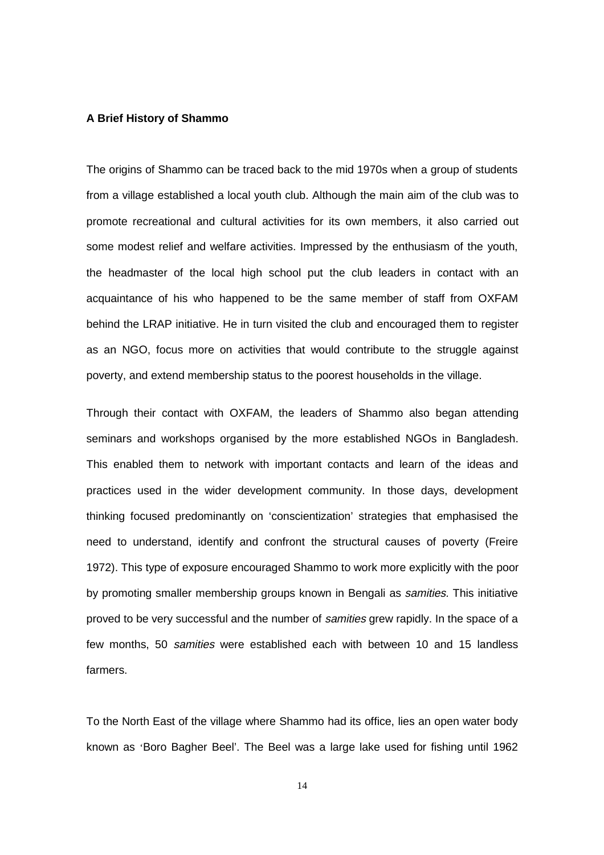#### **A Brief History of Shammo**

The origins of Shammo can be traced back to the mid 1970s when a group of students from a village established a local youth club. Although the main aim of the club was to promote recreational and cultural activities for its own members, it also carried out some modest relief and welfare activities. Impressed by the enthusiasm of the youth, the headmaster of the local high school put the club leaders in contact with an acquaintance of his who happened to be the same member of staff from OXFAM behind the LRAP initiative. He in turn visited the club and encouraged them to register as an NGO, focus more on activities that would contribute to the struggle against poverty, and extend membership status to the poorest households in the village.

Through their contact with OXFAM, the leaders of Shammo also began attending seminars and workshops organised by the more established NGOs in Bangladesh. This enabled them to network with important contacts and learn of the ideas and practices used in the wider development community. In those days, development thinking focused predominantly on 'conscientization' strategies that emphasised the need to understand, identify and confront the structural causes of poverty (Freire 1972). This type of exposure encouraged Shammo to work more explicitly with the poor by promoting smaller membership groups known in Bengali as samities. This initiative proved to be very successful and the number of samities grew rapidly. In the space of a few months, 50 samities were established each with between 10 and 15 landless farmers.

To the North East of the village where Shammo had its office, lies an open water body known as 'Boro Bagher Beel'. The Beel was a large lake used for fishing until 1962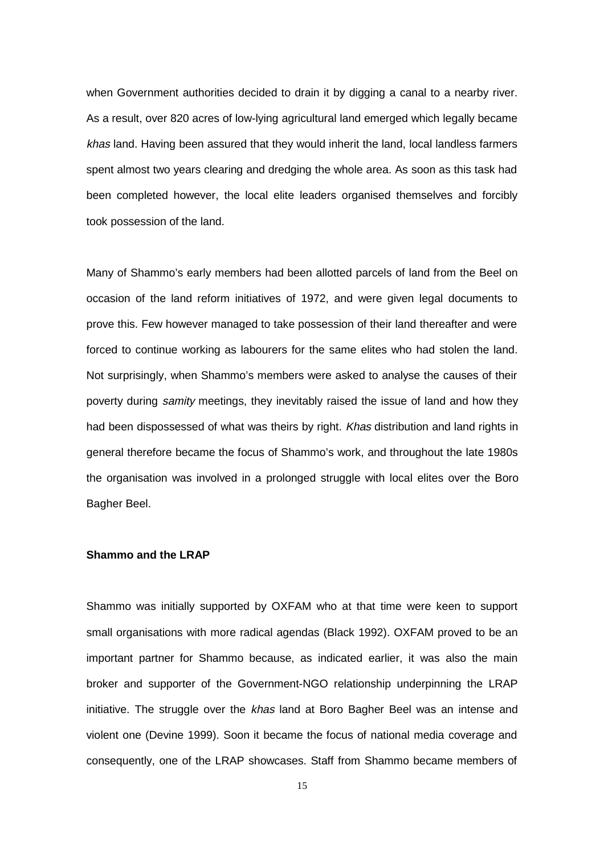when Government authorities decided to drain it by digging a canal to a nearby river. As a result, over 820 acres of low-lying agricultural land emerged which legally became khas land. Having been assured that they would inherit the land, local landless farmers spent almost two years clearing and dredging the whole area. As soon as this task had been completed however, the local elite leaders organised themselves and forcibly took possession of the land.

Many of Shammo's early members had been allotted parcels of land from the Beel on occasion of the land reform initiatives of 1972, and were given legal documents to prove this. Few however managed to take possession of their land thereafter and were forced to continue working as labourers for the same elites who had stolen the land. Not surprisingly, when Shammo's members were asked to analyse the causes of their poverty during *samity* meetings, they inevitably raised the issue of land and how they had been dispossessed of what was theirs by right. Khas distribution and land rights in general therefore became the focus of Shammo's work, and throughout the late 1980s the organisation was involved in a prolonged struggle with local elites over the Boro Bagher Beel.

#### **Shammo and the LRAP**

Shammo was initially supported by OXFAM who at that time were keen to support small organisations with more radical agendas (Black 1992). OXFAM proved to be an important partner for Shammo because, as indicated earlier, it was also the main broker and supporter of the Government-NGO relationship underpinning the LRAP initiative. The struggle over the khas land at Boro Bagher Beel was an intense and violent one (Devine 1999). Soon it became the focus of national media coverage and consequently, one of the LRAP showcases. Staff from Shammo became members of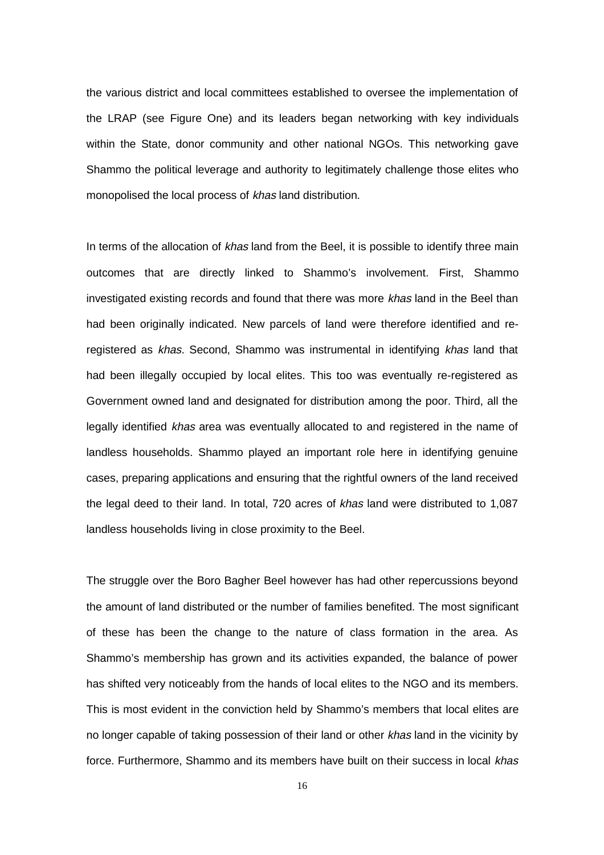the various district and local committees established to oversee the implementation of the LRAP (see Figure One) and its leaders began networking with key individuals within the State, donor community and other national NGOs. This networking gave Shammo the political leverage and authority to legitimately challenge those elites who monopolised the local process of khas land distribution.

In terms of the allocation of khas land from the Beel, it is possible to identify three main outcomes that are directly linked to Shammo's involvement. First, Shammo investigated existing records and found that there was more khas land in the Beel than had been originally indicated. New parcels of land were therefore identified and reregistered as khas. Second, Shammo was instrumental in identifying khas land that had been illegally occupied by local elites. This too was eventually re-registered as Government owned land and designated for distribution among the poor. Third, all the legally identified khas area was eventually allocated to and registered in the name of landless households. Shammo played an important role here in identifying genuine cases, preparing applications and ensuring that the rightful owners of the land received the legal deed to their land. In total, 720 acres of khas land were distributed to 1,087 landless households living in close proximity to the Beel.

The struggle over the Boro Bagher Beel however has had other repercussions beyond the amount of land distributed or the number of families benefited. The most significant of these has been the change to the nature of class formation in the area. As Shammo's membership has grown and its activities expanded, the balance of power has shifted very noticeably from the hands of local elites to the NGO and its members. This is most evident in the conviction held by Shammo's members that local elites are no longer capable of taking possession of their land or other khas land in the vicinity by force. Furthermore, Shammo and its members have built on their success in local khas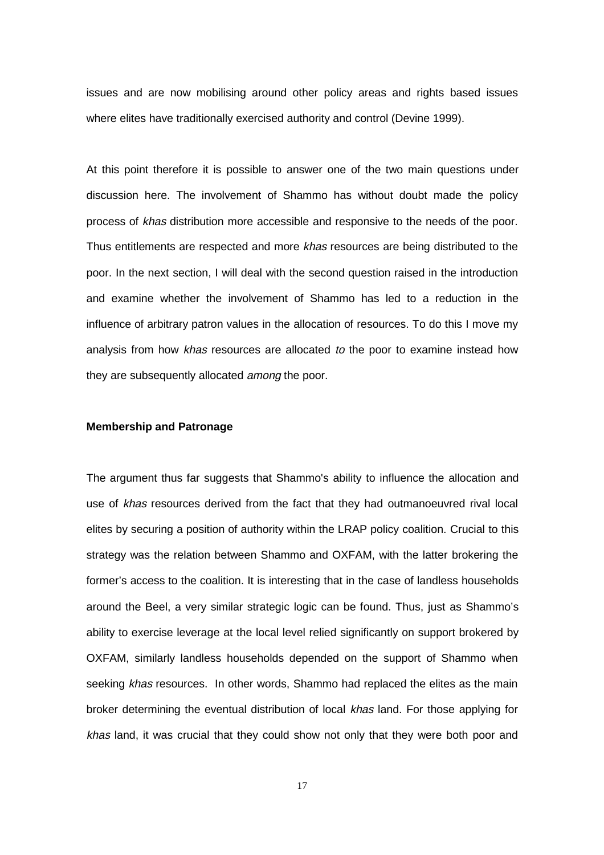issues and are now mobilising around other policy areas and rights based issues where elites have traditionally exercised authority and control (Devine 1999).

At this point therefore it is possible to answer one of the two main questions under discussion here. The involvement of Shammo has without doubt made the policy process of khas distribution more accessible and responsive to the needs of the poor. Thus entitlements are respected and more khas resources are being distributed to the poor. In the next section, I will deal with the second question raised in the introduction and examine whether the involvement of Shammo has led to a reduction in the influence of arbitrary patron values in the allocation of resources. To do this I move my analysis from how khas resources are allocated to the poor to examine instead how they are subsequently allocated *among* the poor.

#### **Membership and Patronage**

The argument thus far suggests that Shammo's ability to influence the allocation and use of khas resources derived from the fact that they had outmanoeuvred rival local elites by securing a position of authority within the LRAP policy coalition. Crucial to this strategy was the relation between Shammo and OXFAM, with the latter brokering the former's access to the coalition. It is interesting that in the case of landless households around the Beel, a very similar strategic logic can be found. Thus, just as Shammo's ability to exercise leverage at the local level relied significantly on support brokered by OXFAM, similarly landless households depended on the support of Shammo when seeking khas resources. In other words, Shammo had replaced the elites as the main broker determining the eventual distribution of local khas land. For those applying for khas land, it was crucial that they could show not only that they were both poor and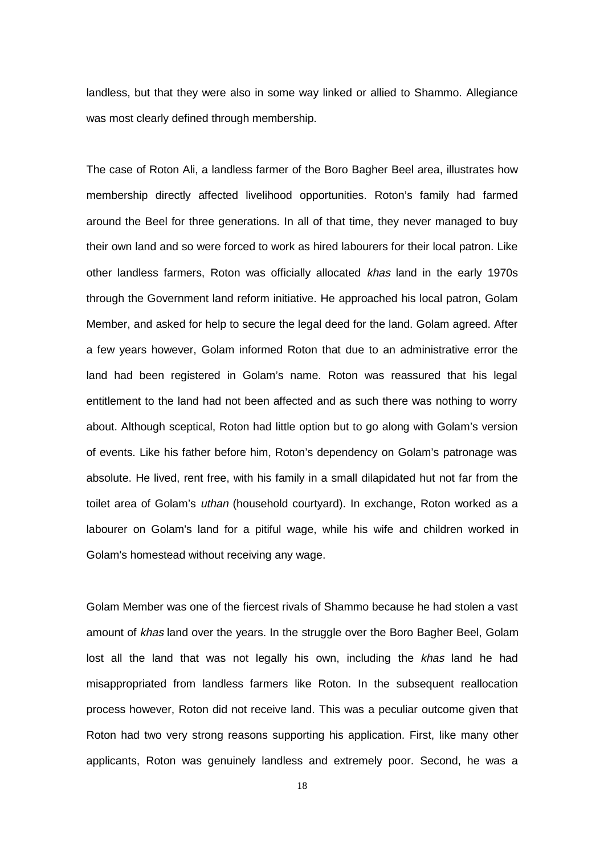landless, but that they were also in some way linked or allied to Shammo. Allegiance was most clearly defined through membership.

The case of Roton Ali, a landless farmer of the Boro Bagher Beel area, illustrates how membership directly affected livelihood opportunities. Roton's family had farmed around the Beel for three generations. In all of that time, they never managed to buy their own land and so were forced to work as hired labourers for their local patron. Like other landless farmers, Roton was officially allocated khas land in the early 1970s through the Government land reform initiative. He approached his local patron, Golam Member, and asked for help to secure the legal deed for the land. Golam agreed. After a few years however, Golam informed Roton that due to an administrative error the land had been registered in Golam's name. Roton was reassured that his legal entitlement to the land had not been affected and as such there was nothing to worry about. Although sceptical, Roton had little option but to go along with Golam's version of events. Like his father before him, Roton's dependency on Golam's patronage was absolute. He lived, rent free, with his family in a small dilapidated hut not far from the toilet area of Golam's uthan (household courtyard). In exchange, Roton worked as a labourer on Golam's land for a pitiful wage, while his wife and children worked in Golam's homestead without receiving any wage.

Golam Member was one of the fiercest rivals of Shammo because he had stolen a vast amount of khas land over the years. In the struggle over the Boro Bagher Beel, Golam lost all the land that was not legally his own, including the khas land he had misappropriated from landless farmers like Roton. In the subsequent reallocation process however, Roton did not receive land. This was a peculiar outcome given that Roton had two very strong reasons supporting his application. First, like many other applicants, Roton was genuinely landless and extremely poor. Second, he was a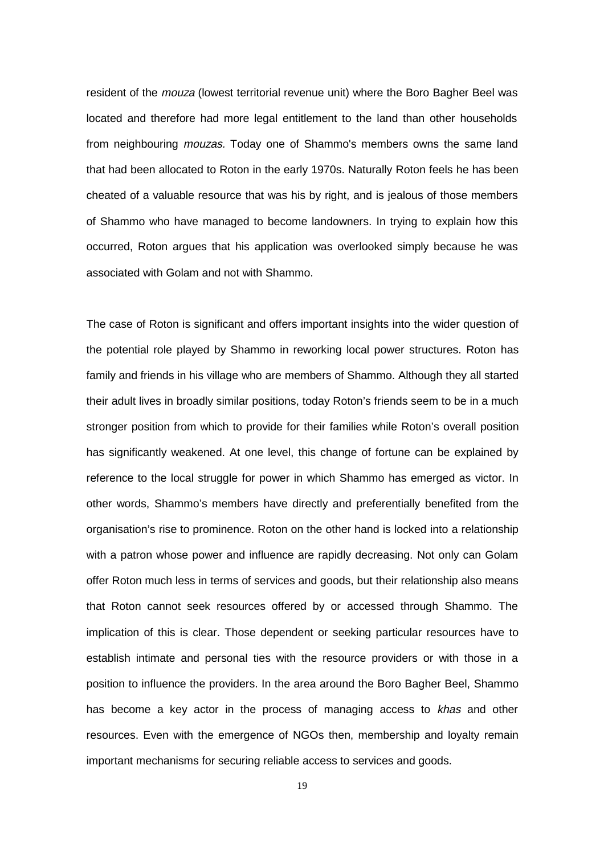resident of the *mouza* (lowest territorial revenue unit) where the Boro Bagher Beel was located and therefore had more legal entitlement to the land than other households from neighbouring mouzas. Today one of Shammo's members owns the same land that had been allocated to Roton in the early 1970s. Naturally Roton feels he has been cheated of a valuable resource that was his by right, and is jealous of those members of Shammo who have managed to become landowners. In trying to explain how this occurred, Roton argues that his application was overlooked simply because he was associated with Golam and not with Shammo.

The case of Roton is significant and offers important insights into the wider question of the potential role played by Shammo in reworking local power structures. Roton has family and friends in his village who are members of Shammo. Although they all started their adult lives in broadly similar positions, today Roton's friends seem to be in a much stronger position from which to provide for their families while Roton's overall position has significantly weakened. At one level, this change of fortune can be explained by reference to the local struggle for power in which Shammo has emerged as victor. In other words, Shammo's members have directly and preferentially benefited from the organisation's rise to prominence. Roton on the other hand is locked into a relationship with a patron whose power and influence are rapidly decreasing. Not only can Golam offer Roton much less in terms of services and goods, but their relationship also means that Roton cannot seek resources offered by or accessed through Shammo. The implication of this is clear. Those dependent or seeking particular resources have to establish intimate and personal ties with the resource providers or with those in a position to influence the providers. In the area around the Boro Bagher Beel, Shammo has become a key actor in the process of managing access to khas and other resources. Even with the emergence of NGOs then, membership and loyalty remain important mechanisms for securing reliable access to services and goods.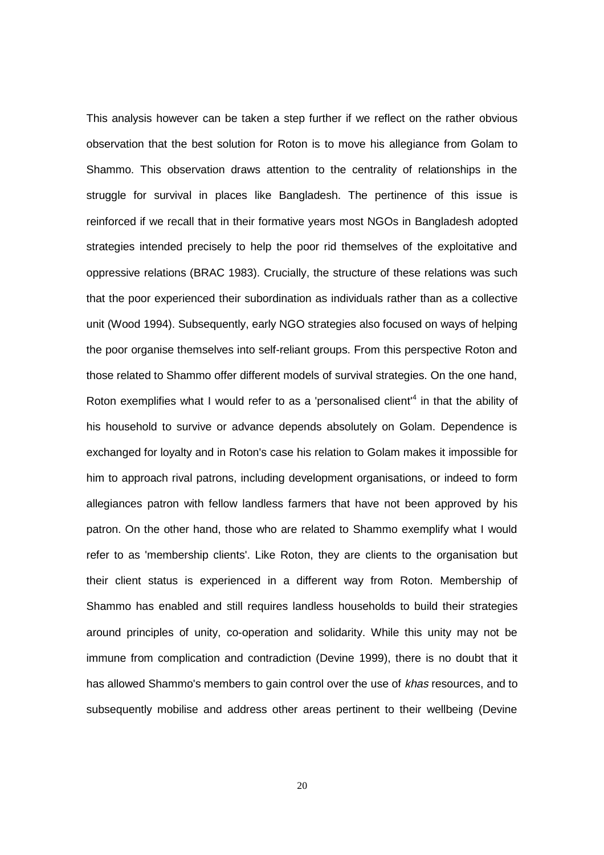This analysis however can be taken a step further if we reflect on the rather obvious observation that the best solution for Roton is to move his allegiance from Golam to Shammo. This observation draws attention to the centrality of relationships in the struggle for survival in places like Bangladesh. The pertinence of this issue is reinforced if we recall that in their formative years most NGOs in Bangladesh adopted strategies intended precisely to help the poor rid themselves of the exploitative and oppressive relations (BRAC 1983). Crucially, the structure of these relations was such that the poor experienced their subordination as individuals rather than as a collective unit (Wood 1994). Subsequently, early NGO strategies also focused on ways of helping the poor organise themselves into self-reliant groups. From this perspective Roton and those related to Shammo offer different models of survival strategies. On the one hand, Roton exemplifies what I would refer to as a 'personalised client'<sup>4</sup> in that the ability of his household to survive or advance depends absolutely on Golam. Dependence is exchanged for loyalty and in Roton's case his relation to Golam makes it impossible for him to approach rival patrons, including development organisations, or indeed to form allegiances patron with fellow landless farmers that have not been approved by his patron. On the other hand, those who are related to Shammo exemplify what I would refer to as 'membership clients'. Like Roton, they are clients to the organisation but their client status is experienced in a different way from Roton. Membership of Shammo has enabled and still requires landless households to build their strategies around principles of unity, co-operation and solidarity. While this unity may not be immune from complication and contradiction (Devine 1999), there is no doubt that it has allowed Shammo's members to gain control over the use of khas resources, and to subsequently mobilise and address other areas pertinent to their wellbeing (Devine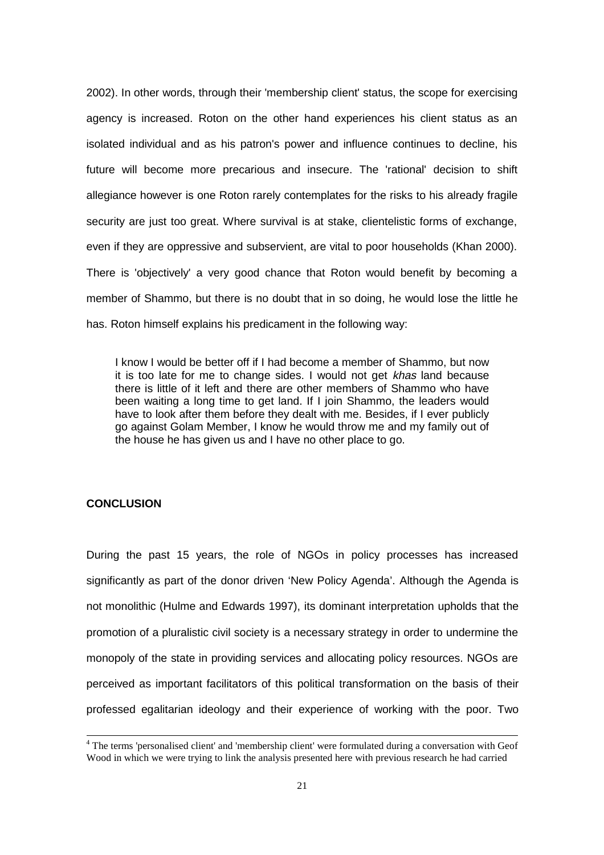2002). In other words, through their 'membership client' status, the scope for exercising agency is increased. Roton on the other hand experiences his client status as an isolated individual and as his patron's power and influence continues to decline, his future will become more precarious and insecure. The 'rational' decision to shift allegiance however is one Roton rarely contemplates for the risks to his already fragile security are just too great. Where survival is at stake, clientelistic forms of exchange, even if they are oppressive and subservient, are vital to poor households (Khan 2000). There is 'objectively' a very good chance that Roton would benefit by becoming a member of Shammo, but there is no doubt that in so doing, he would lose the little he has. Roton himself explains his predicament in the following way:

I know I would be better off if I had become a member of Shammo, but now it is too late for me to change sides. I would not get khas land because there is little of it left and there are other members of Shammo who have been waiting a long time to get land. If I join Shammo, the leaders would have to look after them before they dealt with me. Besides, if I ever publicly go against Golam Member, I know he would throw me and my family out of the house he has given us and I have no other place to go.

#### **CONCLUSION**

During the past 15 years, the role of NGOs in policy processes has increased significantly as part of the donor driven 'New Policy Agenda'. Although the Agenda is not monolithic (Hulme and Edwards 1997), its dominant interpretation upholds that the promotion of a pluralistic civil society is a necessary strategy in order to undermine the monopoly of the state in providing services and allocating policy resources. NGOs are perceived as important facilitators of this political transformation on the basis of their professed egalitarian ideology and their experience of working with the poor. Two

<sup>&</sup>lt;sup>4</sup> The terms 'personalised client' and 'membership client' were formulated during a conversation with Geof Wood in which we were trying to link the analysis presented here with previous research he had carried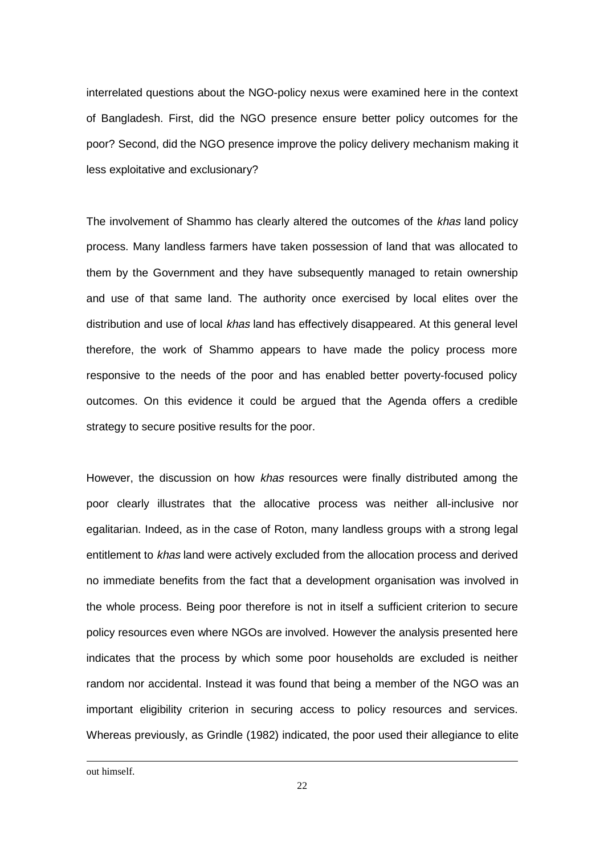interrelated questions about the NGO-policy nexus were examined here in the context of Bangladesh. First, did the NGO presence ensure better policy outcomes for the poor? Second, did the NGO presence improve the policy delivery mechanism making it less exploitative and exclusionary?

The involvement of Shammo has clearly altered the outcomes of the khas land policy process. Many landless farmers have taken possession of land that was allocated to them by the Government and they have subsequently managed to retain ownership and use of that same land. The authority once exercised by local elites over the distribution and use of local khas land has effectively disappeared. At this general level therefore, the work of Shammo appears to have made the policy process more responsive to the needs of the poor and has enabled better poverty-focused policy outcomes. On this evidence it could be argued that the Agenda offers a credible strategy to secure positive results for the poor.

However, the discussion on how khas resources were finally distributed among the poor clearly illustrates that the allocative process was neither all-inclusive nor egalitarian. Indeed, as in the case of Roton, many landless groups with a strong legal entitlement to khas land were actively excluded from the allocation process and derived no immediate benefits from the fact that a development organisation was involved in the whole process. Being poor therefore is not in itself a sufficient criterion to secure policy resources even where NGOs are involved. However the analysis presented here indicates that the process by which some poor households are excluded is neither random nor accidental. Instead it was found that being a member of the NGO was an important eligibility criterion in securing access to policy resources and services. Whereas previously, as Grindle (1982) indicated, the poor used their allegiance to elite

out himself.

 $\overline{a}$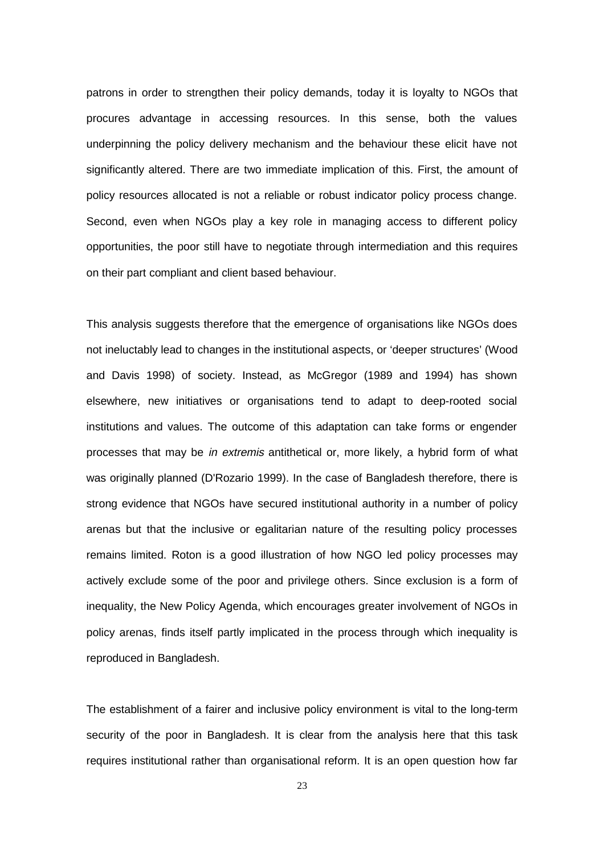patrons in order to strengthen their policy demands, today it is loyalty to NGOs that procures advantage in accessing resources. In this sense, both the values underpinning the policy delivery mechanism and the behaviour these elicit have not significantly altered. There are two immediate implication of this. First, the amount of policy resources allocated is not a reliable or robust indicator policy process change. Second, even when NGOs play a key role in managing access to different policy opportunities, the poor still have to negotiate through intermediation and this requires on their part compliant and client based behaviour.

This analysis suggests therefore that the emergence of organisations like NGOs does not ineluctably lead to changes in the institutional aspects, or 'deeper structures' (Wood and Davis 1998) of society. Instead, as McGregor (1989 and 1994) has shown elsewhere, new initiatives or organisations tend to adapt to deep-rooted social institutions and values. The outcome of this adaptation can take forms or engender processes that may be in extremis antithetical or, more likely, a hybrid form of what was originally planned (D'Rozario 1999). In the case of Bangladesh therefore, there is strong evidence that NGOs have secured institutional authority in a number of policy arenas but that the inclusive or egalitarian nature of the resulting policy processes remains limited. Roton is a good illustration of how NGO led policy processes may actively exclude some of the poor and privilege others. Since exclusion is a form of inequality, the New Policy Agenda, which encourages greater involvement of NGOs in policy arenas, finds itself partly implicated in the process through which inequality is reproduced in Bangladesh.

The establishment of a fairer and inclusive policy environment is vital to the long-term security of the poor in Bangladesh. It is clear from the analysis here that this task requires institutional rather than organisational reform. It is an open question how far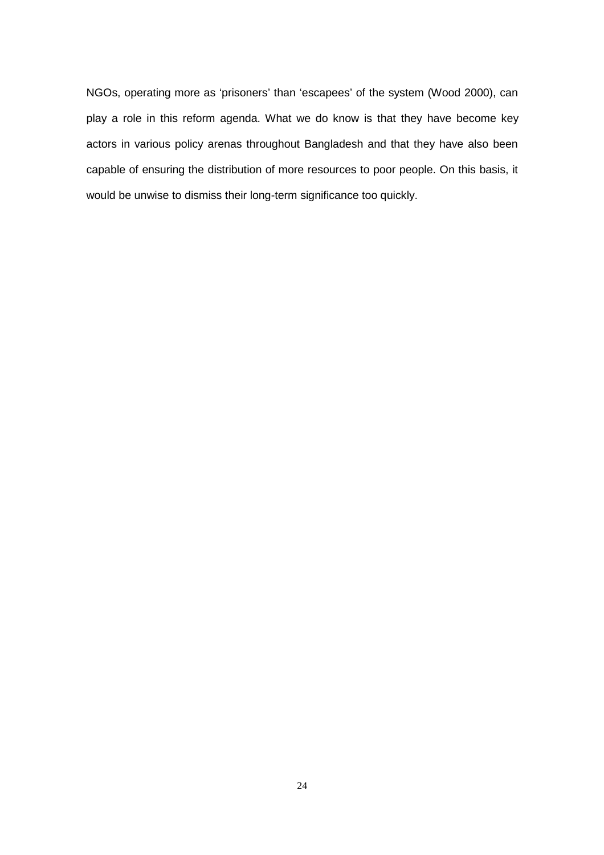NGOs, operating more as 'prisoners' than 'escapees' of the system (Wood 2000), can play a role in this reform agenda. What we do know is that they have become key actors in various policy arenas throughout Bangladesh and that they have also been capable of ensuring the distribution of more resources to poor people. On this basis, it would be unwise to dismiss their long-term significance too quickly.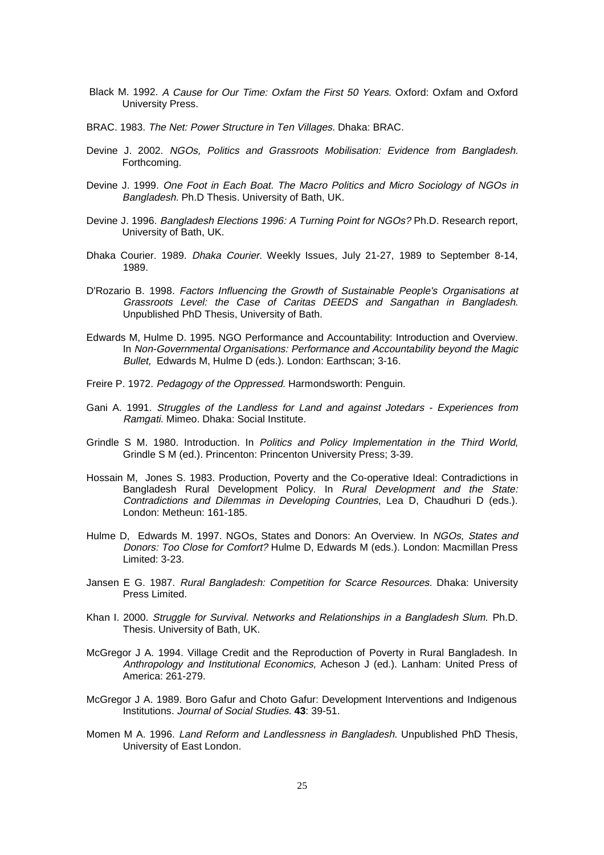- Black M. 1992. A Cause for Our Time: Oxfam the First 50 Years. Oxford: Oxfam and Oxford University Press.
- BRAC. 1983. The Net: Power Structure in Ten Villages. Dhaka: BRAC.
- Devine J. 2002. NGOs, Politics and Grassroots Mobilisation: Evidence from Bangladesh. Forthcoming.
- Devine J. 1999. One Foot in Each Boat. The Macro Politics and Micro Sociology of NGOs in Bangladesh. Ph.D Thesis. University of Bath, UK.
- Devine J. 1996. Bangladesh Elections 1996: A Turning Point for NGOs? Ph.D. Research report, University of Bath, UK.
- Dhaka Courier. 1989. Dhaka Courier. Weekly Issues, July 21-27, 1989 to September 8-14, 1989.
- D'Rozario B. 1998. Factors Influencing the Growth of Sustainable People's Organisations at Grassroots Level: the Case of Caritas DEEDS and Sangathan in Bangladesh. Unpublished PhD Thesis, University of Bath.
- Edwards M, Hulme D. 1995. NGO Performance and Accountability: Introduction and Overview. In Non-Governmental Organisations: Performance and Accountability beyond the Magic Bullet, Edwards M, Hulme D (eds.). London: Earthscan; 3-16.
- Freire P. 1972. Pedagogy of the Oppressed. Harmondsworth: Penguin.
- Gani A. 1991. Struggles of the Landless for Land and against Jotedars Experiences from Ramgati. Mimeo. Dhaka: Social Institute.
- Grindle S M. 1980. Introduction. In Politics and Policy Implementation in the Third World, Grindle S M (ed.). Princenton: Princenton University Press; 3-39.
- Hossain M, Jones S. 1983. Production, Poverty and the Co-operative Ideal: Contradictions in Bangladesh Rural Development Policy. In Rural Development and the State: Contradictions and Dilemmas in Developing Countries, Lea D, Chaudhuri D (eds.). London: Metheun: 161-185.
- Hulme D, Edwards M. 1997. NGOs, States and Donors: An Overview. In NGOs, States and Donors: Too Close for Comfort? Hulme D, Edwards M (eds.). London: Macmillan Press Limited: 3-23.
- Jansen E G. 1987. Rural Bangladesh: Competition for Scarce Resources. Dhaka: University Press Limited.
- Khan I. 2000. Struggle for Survival. Networks and Relationships in a Bangladesh Slum. Ph.D. Thesis. University of Bath, UK.
- McGregor J A. 1994. Village Credit and the Reproduction of Poverty in Rural Bangladesh. In Anthropology and Institutional Economics, Acheson J (ed.). Lanham: United Press of America: 261-279.
- McGregor J A. 1989. Boro Gafur and Choto Gafur: Development Interventions and Indigenous Institutions. Journal of Social Studies. **43**: 39-51.
- Momen M A. 1996. Land Reform and Landlessness in Bangladesh. Unpublished PhD Thesis, University of East London.